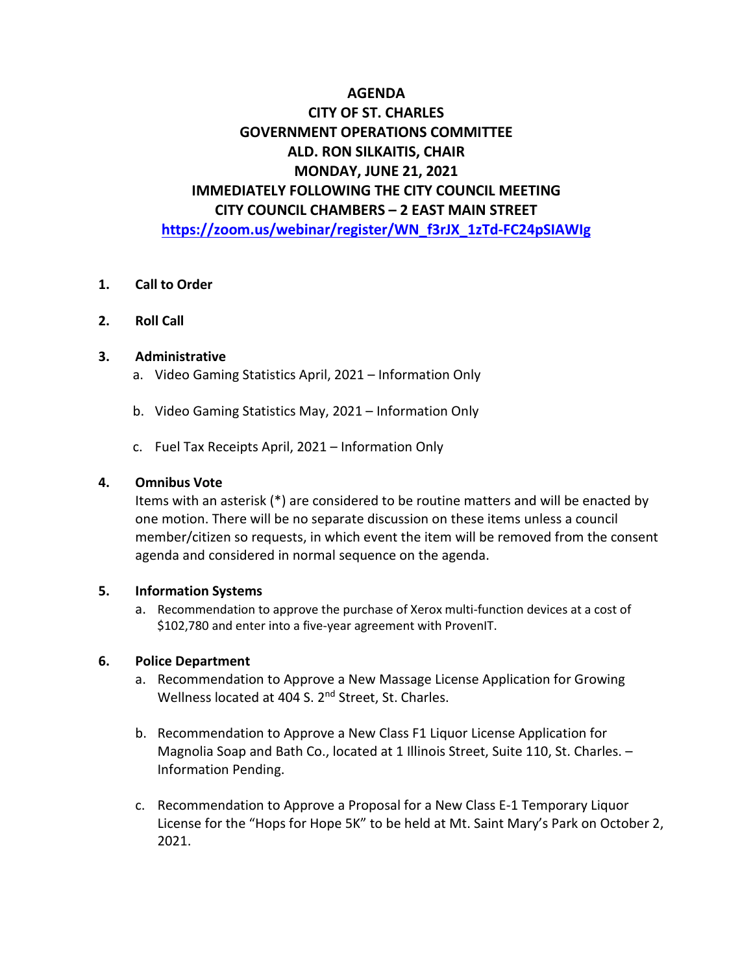# **AGENDA CITY OF ST. CHARLES GOVERNMENT OPERATIONS COMMITTEE ALD. RON SILKAITIS, CHAIR MONDAY, JUNE 21, 2021 IMMEDIATELY FOLLOWING THE CITY COUNCIL MEETING CITY COUNCIL CHAMBERS – 2 EAST MAIN STREET**

**[https://zoom.us/webinar/register/WN\\_f3rJX\\_1zTd-FC24pSIAWIg](https://zoom.us/webinar/register/WN_f3rJX_1zTd-FC24pSIAWIg)**

- **1. Call to Order**
- **2. Roll Call**

## **3. Administrative**

- a. Video Gaming Statistics April, 2021 Information Only
- b. Video Gaming Statistics May, 2021 Information Only
- c. Fuel Tax Receipts April, 2021 Information Only

## **4. Omnibus Vote**

Items with an asterisk (\*) are considered to be routine matters and will be enacted by one motion. There will be no separate discussion on these items unless a council member/citizen so requests, in which event the item will be removed from the consent agenda and considered in normal sequence on the agenda.

## **5. Information Systems**

a. Recommendation to approve the purchase of Xerox multi-function devices at a cost of \$102,780 and enter into a five-year agreement with ProvenIT.

## **6. Police Department**

- a. Recommendation to Approve a New Massage License Application for Growing Wellness located at 404 S. 2<sup>nd</sup> Street, St. Charles.
- b. Recommendation to Approve a New Class F1 Liquor License Application for Magnolia Soap and Bath Co., located at 1 Illinois Street, Suite 110, St. Charles. – Information Pending.
- c. Recommendation to Approve a Proposal for a New Class E-1 Temporary Liquor License for the "Hops for Hope 5K" to be held at Mt. Saint Mary's Park on October 2, 2021.